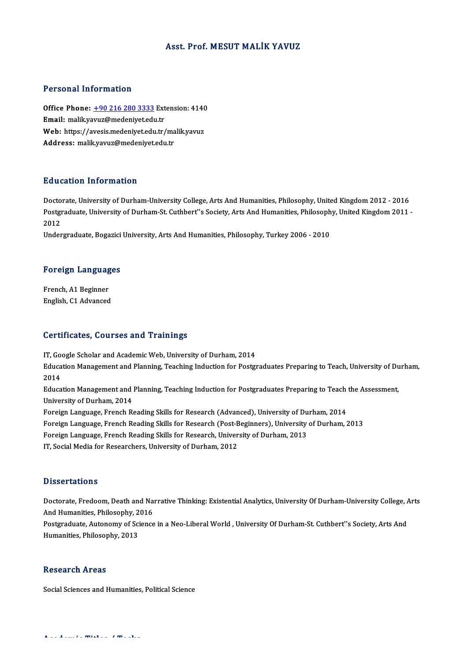#### Asst. Prof. MESUT MALİK YAVUZ

#### Personal Information

Personal Information<br>Office Phone: <u>+90 216 280 3333</u> Extension: 4140<br>Email: malik yawg@medaniyet.edu.tr 1 STSSMAT MISS MURISM<br>Office Phone: <u>+90 216 280 3333</u> Ext<br>Email: malik.ya[vuz@medeniyet.edu](tel:+90 216 280 3333).tr Office Phone: <u>+90 216 280 3333</u> Extension: 4140<br>Email: malik.yavuz@medeniyet.edu.tr<br>Web: https://avesis.medeniyet.edu.tr/malik.yavuz<br>Addressy malik.yavuz@medeniyet.edu.tr Email: malik.yavuz@medeniyet.edu.tr<br>Web: https://avesis.medeniyet.edu.tr/malik.yavuz<br>Address: malik.yavuz@medeniyet.edu.tr

#### Education Information

Education Information<br>Doctorate, University of Durham-University College, Arts And Humanities, Philosophy, United Kingdom 2012 - 2016<br>Postareduate University of Durham St. Cuthbort''s Sosiaty, Arts And Humanities, Philosop Pula Sation Timon Interon<br>Doctorate, University of Durham-University College, Arts And Humanities, Philosophy, United Kingdom 2012 - 2016<br>Postgraduate, University of Durham-St. Cuthbert''s Society, Arts And Humanities, Phi Docto<br>Postgi<br>2012<br>Under Postgraduate, University of Durham-St. Cuthbert''s Society, Arts And Humanities, Philosoph<br>2012<br>Undergraduate, Bogazici University, Arts And Humanities, Philosophy, Turkey 2006 - 2010

# <sub>ondergraduate, bogazici<br>Foreign Languages</sub>

**Foreign Languag<br>French, A1 Beginner<br>English, C1 Advanged** French, A1 Beginner<br>English, C1 Advanced

#### Certificates, Courses and Trainings

**Certificates, Courses and Trainings<br>IT, Google Scholar and Academic Web, University of Durham, 2014<br>Education Management and Planning Teaching Induction for Bester** Education Management and Planning, Teaching Induction for Postgraduates Preparing to Teach, University of Durham,<br>2014 IT, Go<br>Educa<br>2014<br>Educa Education Management and Planning, Teaching Induction for Postgraduates Preparing to Teach, University of Du<br>2014<br>Education Management and Planning, Teaching Induction for Postgraduates Preparing to Teach the Assessment,<br>U 2014<br>Education Management and<br>University of Durham, 2014<br>Foreign Language, Franch B. Education Management and Planning, Teaching Induction for Postgraduates Preparing to Teach<br>University of Durham, 2014<br>Foreign Language, French Reading Skills for Research (Advanced), University of Durham, 2014<br>Foreign Lang University of Durham, 2014<br>Foreign Language, French Reading Skills for Research (Advanced), University of Durham, 2014<br>Foreign Language, French Reading Skills for Research (Post-Beginners), University of Durham, 2013<br>Forei Foreign Language, French Reading Skills for Research (Advanced), University of Du<br>Foreign Language, French Reading Skills for Research (Post-Beginners), University<br>Foreign Language, French Reading Skills for Research, Univ Foreign Language, French Reading Skills for Research (Post-B<br>Foreign Language, French Reading Skills for Research, Univer<br>IT, Social Media for Researchers, University of Durham, 2012 IT, Social Media for Researchers, University of Durham, 2012<br>Dissertations

Dissertations<br>Doctorate, Fredoom, Death and Narrative Thinking: Existential Analytics, University Of Durham-University College, Arts<br>And Humanitics, Philosophy, 2016 *Basser derems*<br>Doctorate, Fredoom, Death and Na<br>And Humanities, Philosophy, 2016<br>Postaraduate, Autonomy of Science Doctorate, Fredoom, Death and Narrative Thinking: Existential Analytics, University Of Durham-University College, A<br>And Humanities, Philosophy, 2016<br>Postgraduate, Autonomy of Science in a Neo-Liberal World , University Of

And Humanities, Philosophy, 2<br>Postgraduate, Autonomy of Sci<br>Humanities, Philosophy, 2013 Humanities, Philosophy, 2013<br>Research Areas

Social Sciences and Humanities, Political Science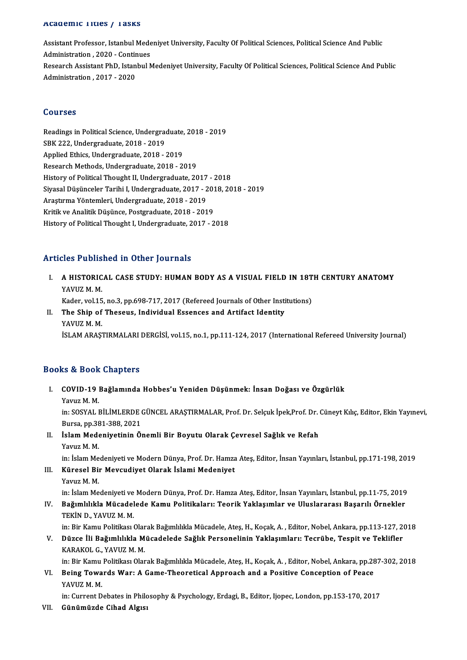#### Academic Titles / Tasks

A**cademic Titles / Tasks**<br>Assistant Professor, Istanbul Medeniyet University, Faculty Of Political Sciences, Political Science And Public<br>Administration, 2020, Continues Assistant Professor, Istanbul Mede<br>Administration , 2020 - Continues<br>Besearch Assistant PhD, Istanbul N Assistant Professor, Istanbul Medeniyet University, Faculty Of Political Sciences, Political Science And Public<br>Administration , 2020 - Continues<br>Research Assistant PhD, Istanbul Medeniyet University, Faculty Of Political Administration , 2020 - Contir<br>Research Assistant PhD, Istan<br>Administration , 2017 - 2020 Administration , 2017 - 2020<br>Courses

Courses<br>Readings in Political Science, Undergraduate, 2018 - 2019<br>SPK 222. Undergraduate, 2018 - 2019 Sources<br>Readings in Political Science, Undergrad<br>SBK 222, Undergraduate, 2018 - 2019<br>Annlied Ethics, Undergraduate, 2019 Readings in Political Science, Undergraduate,<br>SBK 222, Undergraduate, 2018 - 2019<br>Applied Ethics, Undergraduate, 2018 - 2019<br>Besearch Methods, Undergraduate, 2018 - 20 SBK 222, Undergraduate, 2018 - 2019<br>Applied Ethics, Undergraduate, 2018 - 2019<br>Research Methods, Undergraduate, 2018 - 2019 History of Political Thought II, Undergraduate, 2017 - 2018 Siyasal Düşünceler Tarihi I, Undergraduate, 2017 - 2018, 2018 - 2019 History of Political Thought II, Undergraduate, 2017<br>Siyasal Düşünceler Tarihi I, Undergraduate, 2017 - 2<br>Araştırma Yöntemleri, Undergraduate, 2018 - 2019<br>Kritik ve Analitik Düşünce, Bostaraduate, 2019 - 201 Siyasal Düşünceler Tarihi I, Undergraduate, 2017 - 2013<br>Araştırma Yöntemleri, Undergraduate, 2018 - 2019<br>Kritik ve Analitik Düşünce, Postgraduate, 2018 - 2019<br>History of Political Thought I, Undergraduate, 2017 Kritik ve Analitik Düşünce, Postgraduate, 2018 - 2019<br>History of Political Thought I, Undergraduate, 2017 - 2018

### Articles Published in Other Journals

Tticles Published in Other Journals<br>I. A HISTORICAL CASE STUDY: HUMAN BODY AS A VISUAL FIELD IN 18TH CENTURY ANATOMY AUST ABIS<br>A HISTORIC<br>YAVUZ M. M.<br>Keder vel 15 A HISTORICAL CASE STUDY: HUMAN BODY AS A VISUAL FIELD IN 18T<br>YAVUZ M. M.<br>Kader, vol.15, no.3, pp.698-717, 2017 (Refereed Journals of Other Institutions)<br>The Shin of Thegous, Individual Essenses and Artifest Identity.

Kader, vol.15, no.3, pp.698-717, 2017 (Refereed Journals of Other Institutions)

### YAVUZ M. M.<br>Kader, vol.15, no.3, pp.698-717, 2017 (Refereed Journals of Other Inst<br>II. The Ship of Theseus, Individual Essences and Artifact Identity<br>YAVUZ M. M. İSLAM ARAŞTIRMALARI DERGİSİ, vol.15, no.1, pp.111-124, 2017 (International Refereed University Journal)

### Books&Book Chapters

ooks & Book Chapters<br>I. COVID-19 Bağlamında Hobbes'u Yeniden Düşünmek: İnsan Doğası ve Özgürlük<br>Yavuz M.M EXECTED<br>COVID-19<br>Yavuz M. M.<br>in: SOSVAL L

COVID-19 Bağlamında Hobbes'u Yeniden Düşünmek: İnsan Doğası ve Özgürlük<br>Yavuz M. M.<br>in: SOSYAL BİLİMLERDE GÜNCEL ARAŞTIRMALAR, Prof. Dr. Selçuk İpek,Prof. Dr. Cüneyt Kılıç, Editor, Ekin Yayınevi,<br>Bursa pp 291 299 2021 Yavuz M. M.<br>in: SOSYAL BİLİMLERDE (<br>Bursa, pp.381-388, 2021<br>İslam Medeniyetinin Ö in: SOSYAL BİLİMLERDE GÜNCEL ARAŞTIRMALAR, Prof. Dr. Selçuk İpek,Prof. Dr. Bursa, pp.381-388, 2021<br>II. İslam Medeniyetinin Önemli Bir Boyutu Olarak Çevresel Sağlık ve Refah<br>Yayuz M. M

Bursa, pp.381-388, 2021<br>II. İslam Medeniyetinin Önemli Bir Boyutu Olarak Çevresel Sağlık ve Refah<br>Yavuz M. M. İslam Medeniyetinin Önemli Bir Boyutu Olarak Çevresel Sağlık ve Refah<br>Yavuz M. M.<br>in: İslam Medeniyeti ve Modern Dünya, Prof. Dr. Hamza Ateş, Editor, İnsan Yayınları, İstanbul, pp.171-198, 2019<br>Künesel Bir Mayaudiyet Olara

Yavuz M. M.<br>in: İslam Medeniyeti ve Modern Dünya, Prof. Dr. Hamza<br>III. Küresel Bir Mevcudiyet Olarak İslami Medeniyet<br>Yaynız M. M in: İslam Me<br><mark>Küresel Bi</mark>i<br>Yavuz M. M.<br>in: İslam Me III. Küresel Bir Mevcudiyet Olarak İslami Medeniyet<br>Yavuz M. M.<br>in: İslam Medeniyeti ve Modern Dünya, Prof. Dr. Hamza Ateş, Editor, İnsan Yayınları, İstanbul, pp.11-75, 2019

Yavuz M. M.<br>In: İslam Medeniyeti ve Modern Dünya, Prof. Dr. Hamza Ateş, Editor, İnsan Yayınları, İstanbul, pp.11-75, 2019<br>IV. Bağımlılıkla Mücadelede Kamu Politikaları: Teorik Yaklaşımlar ve Uluslararası Başarılı Örnek in: İslam Medeniyeti ve<br><mark>Bağımlılıkla Mücadel</mark><br>TEKİN D., YAVUZ M. M.<br>in: Bir Kamu Bolitikası ( Bağımlılıkla Mücadelede Kamu Politikaları: Teorik Yaklaşımlar ve Uluslararası Başarılı Örnekler<br>TEKİN D., YAVUZ M. M.<br>in: Bir Kamu Politikası Olarak Bağımlılıkla Mücadele, Ateş, H., Koçak, A. , Editor, Nobel, Ankara, pp.11

TEKİN D., YAVUZ M. M.<br>127, Düzce İli Bağımlılıkla Mücadelede Sağlık Personelinin Yaklaşımları: Tecrübe, Tespit ve Teklifler<br>19 V. Düzce İli Bağımlılıkla Mücadelede Sağlık Personelinin Yaklaşımları: Tecrübe, Tespit ve Tekli in: Bir Kamu Politikası Ola<mark>r</mark><br>Düzce İli Bağımlılıkla M<br>KARAKOL G., YAVUZ M. M.<br>in: Bir Kamu Bolitikası Olar Düzce İli Bağımlılıkla Mücadelede Sağlık Personelinin Yaklaşımları: Tecrübe, Tespit ve Teklifler<br>KARAKOL G., YAVUZ M. M.<br>in: Bir Kamu Politikası Olarak Bağımlılıkla Mücadele, Ateş, H., Koçak, A. , Editor, Nobel, Ankara, pp

KARAKOL G., YAVUZ M. M.<br>in: Bir Kamu Politikası Olarak Bağımlılıkla Mücadele, Ateş, H., Koçak, A. , Editor, Nobel, Ankara, pp.26<br>VI. Being Towards War: A Game-Theoretical Approach and a Positive Conception of Peace<br>VAV in: Bir Kamu<br><mark>Being Towa</mark><br>YAVUZ M. M.<br>in: Current D VI. Being Towards War: A Game-Theoretical Approach and a Positive Conception of Peace<br>YAVUZ M. M.<br>in: Current Debates in Philosophy & Psychology, Erdagi, B., Editor, Ijopec, London, pp.153-170, 2017

VII. Günümüzde Cihad Algısı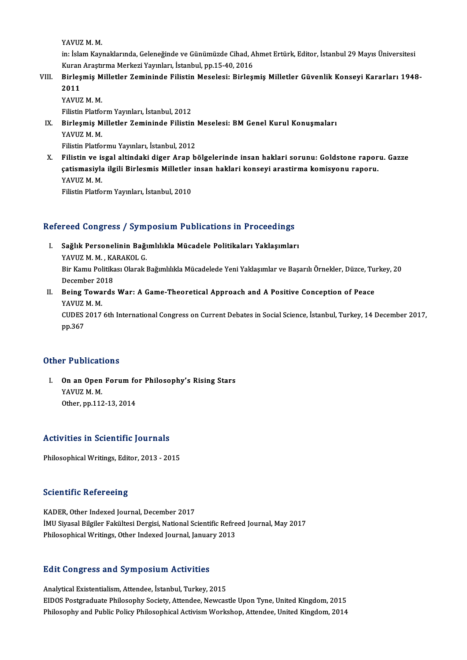YAVUZMM.

YAVUZ M. M.<br>in: İslam Kaynaklarında, Geleneğinde ve Günümüzde Cihad, Ahmet Ertürk, Editor, İstanbul 29 Mayıs Üniversitesi<br>Kuran Arastırma Markari Yayınları, İstanbul, pp.15,40,2016 YAVUZ M. M.<br>in: İslam Kaynaklarında, Geleneğinde ve Günümüzde Cihad, A<br>Kuran Araştırma Merkezi Yayınları, İstanbul, pp.15-40, 2016<br>Birleamia Milletler Zamininde Filistin Mesalesi; Birlesı Kuran Arastırma Merkezi Yayınları, İstanbul, pp.15-40, 2016

VIII. Birleşmiş Milletler Zemininde Filistin Meselesi: Birleşmiş Milletler Güvenlik Konseyi Kararları 1948-<br>2011 2011<br>YAVUZ M. M.<br>Filistin Platform Yayınları, İstanbul, 2012<br>Birlesmiş Milletler Zemininde Eilistin

YAVUZM.M.

YAVUZ M. M.<br>Filistin Platform Yayınları, İstanbul, 2012<br>IX. Birleşmiş Milletler Zemininde Filistin Meselesi: BM Genel Kurul Konuşmaları<br>YAVUZ M. M Filistin Platfo<br>Birleşmiş M<br>YAVUZ M. M.<br>Eilistin Platfo Birleşmiş Milletler Zemininde Filistin<br>YAVUZ M. M.<br>Filistin Platformu Yayınları, İstanbul, 2012<br>Filistin ve işgal altindeki diger Aran b

YAVUZ M. M.<br>Filistin Platformu Yayınları, İstanbul, 2012<br>X. Filistin ve isgal altindaki diger Arap bölgelerinde insan haklari sorunu: Goldstone raporu. Gazze<br>Satismasiyla ilgili Birlasmiş Millatlar insan haklari kansayi ar Filistin Platformu Yayınları, İstanbul, 2012<br>Filistin ve isgal altindaki diger Arap bölgelerinde insan haklari sorunu: Goldstone rapor<br>çatismasiyla ilgili Birlesmis Milletler insan haklari konseyi arastirma komisyonu rapor Filistin ve is<br>çatismasiyla<br>YAVUZ M.M.<br>Eilistin Platfo çatismasiyla ilgili Birlesmis Milletler insan haklari konseyi arastirma komisyonu raporu.<br>YAVUZ M. M.<br>Filistin Platform Yayınları, İstanbul, 2010

# rmsun Plauorm Yayınları, istanbul, 2010<br>Refereed Congress / Symposium Publications in Proceedings

- efereed Congress / Symposium Publications in Proceedings<br>I. Sağlık Personelinin Bağımlılıkla Mücadele Politikaları Yaklaşımları<br>XAVUZMM KARAKQLG I. Sağlık Personelinin Bağımlılıkla Mücadele Politikaları Yaklaşımları Bir Kamu Politikası Olarak Bağımlılıkla Mücadelede Yeni Yaklaşımlar ve Başarılı Örnekler, Düzce, Turkey, 20<br>December 2018 YAVUZ M. M., KARAKOL G. Bir Kamu Politikası Olarak Bağımlılıkla Mücadelede Yeni Yaklaşımlar ve Başarılı Örnekler, Düzce, Tu:<br>December 2018<br>II. Being Towards War: A Game-Theoretical Approach and A Positive Conception of Peace<br>VAVIIZ M M
- December 20<br>Being Towa<br>YAVUZ M.M.<br>CUDES 2017 Being Towards War: A Game-Theoretical Approach and A Positive Conception of Peace<br>YAVUZ M. M.<br>CUDES 2017 6th International Congress on Current Debates in Social Science, İstanbul, Turkey, 14 December 2017,<br>nn 267 YAVUZ<br>CUDES :<br>pp.367

### pp.367<br>Other Publications

ther Publications<br>I. On an Open Forum for Philosophy's Rising Stars<br>YAVUZ M M The abstracts<br>On an Open<br>YAVUZ M.M. On an Open Forum fo<br>YAVUZ M. M.<br>Other, pp.112-13, 2014

## 0ther, pp.112-13, 2014<br>Activities in Scientific Journals

Philosophical Writings, Editor, 2013 - 2015

### **Scientific Refereeing**

KADER, Other Indexed Journal, December 2017 İMUSiyasalBilgiler FakültesiDergisi,NationalScientificRefreed Journal,May2017 Philosophical Writings, Other Indexed Journal, January 2013

# <sub>Philosophical writings, other indexed journal, januar<br>Edit Congress and Symposium Activities</sub>

Edit Congress and Symposium Activities<br>Analytical Existentialism, Attendee, İstanbul, Turkey, 2015<br>EIDOS Pestaraduate Philosophy Sesisty, Attendee, Newses Analytical Existentialism, Attendee, İstanbul, Turkey, 2015<br>EIDOS Postgraduate Philosophy Society, Attendee, Newcastle Upon Tyne, United Kingdom, 2015 Philosophy and Public Policy Philosophical Activism Workshop, Attendee, United Kingdom, 2014